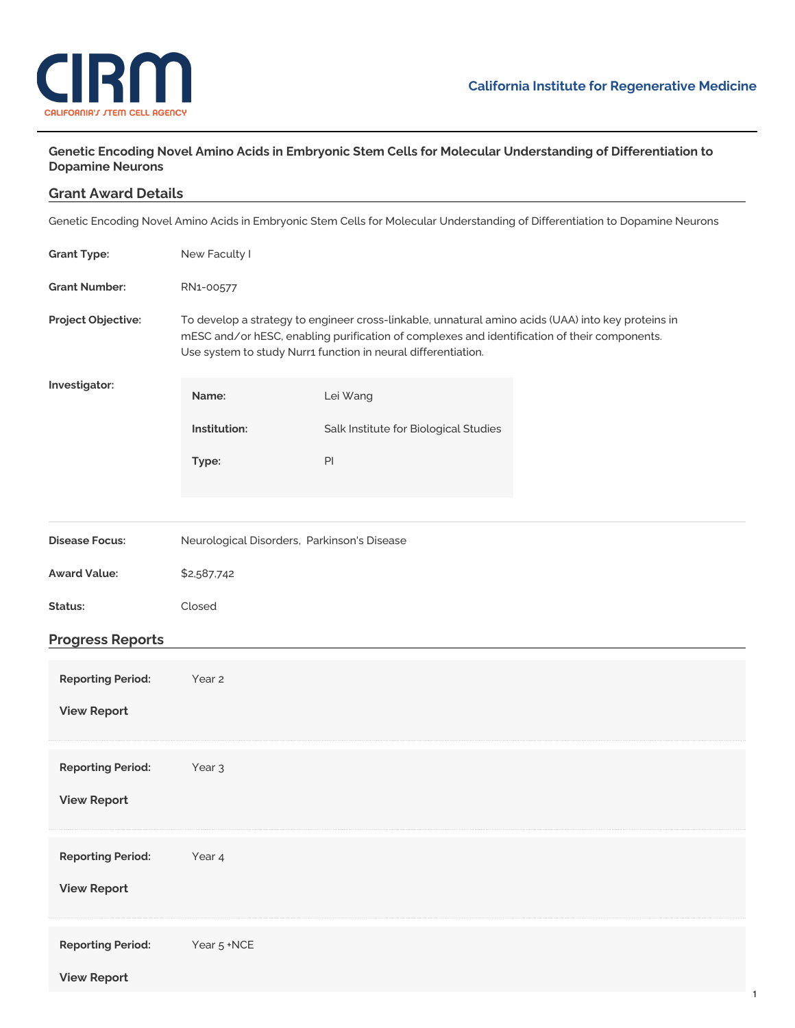

## **Genetic Encoding Novel Amino Acids in Embryonic Stem Cells for Molecular Understanding of Differentiation to Dopamine Neurons**

## **Grant Award Details**

Genetic Encoding Novel Amino Acids in Embryonic Stem Cells for Molecular Understanding of Differentiation to Dopamine Neurons

| <b>Grant Type:</b>       | New Faculty I                                                                                                                                                                                                                                                       |                                       |  |
|--------------------------|---------------------------------------------------------------------------------------------------------------------------------------------------------------------------------------------------------------------------------------------------------------------|---------------------------------------|--|
| <b>Grant Number:</b>     | RN1-00577                                                                                                                                                                                                                                                           |                                       |  |
| Project Objective:       | To develop a strategy to engineer cross-linkable, unnatural amino acids (UAA) into key proteins in<br>mESC and/or hESC, enabling purification of complexes and identification of their components.<br>Use system to study Nurr1 function in neural differentiation. |                                       |  |
| Investigator:            | Name:                                                                                                                                                                                                                                                               | Lei Wang                              |  |
|                          | Institution:                                                                                                                                                                                                                                                        | Salk Institute for Biological Studies |  |
|                          | Type:                                                                                                                                                                                                                                                               | PI                                    |  |
|                          |                                                                                                                                                                                                                                                                     |                                       |  |
| <b>Disease Focus:</b>    | Neurological Disorders, Parkinson's Disease                                                                                                                                                                                                                         |                                       |  |
| <b>Award Value:</b>      | \$2,587,742                                                                                                                                                                                                                                                         |                                       |  |
| Status:                  | Closed                                                                                                                                                                                                                                                              |                                       |  |
| <b>Progress Reports</b>  |                                                                                                                                                                                                                                                                     |                                       |  |
| <b>Reporting Period:</b> | Year 2                                                                                                                                                                                                                                                              |                                       |  |
| <b>View Report</b>       |                                                                                                                                                                                                                                                                     |                                       |  |
| <b>Reporting Period:</b> | Year <sub>3</sub>                                                                                                                                                                                                                                                   |                                       |  |
| <b>View Report</b>       |                                                                                                                                                                                                                                                                     |                                       |  |
| <b>Reporting Period:</b> | Year 4                                                                                                                                                                                                                                                              |                                       |  |
|                          |                                                                                                                                                                                                                                                                     |                                       |  |
| <b>View Report</b>       |                                                                                                                                                                                                                                                                     |                                       |  |
| <b>Reporting Period:</b> | Year 5 +NCE                                                                                                                                                                                                                                                         |                                       |  |
| <b>View Report</b>       |                                                                                                                                                                                                                                                                     |                                       |  |